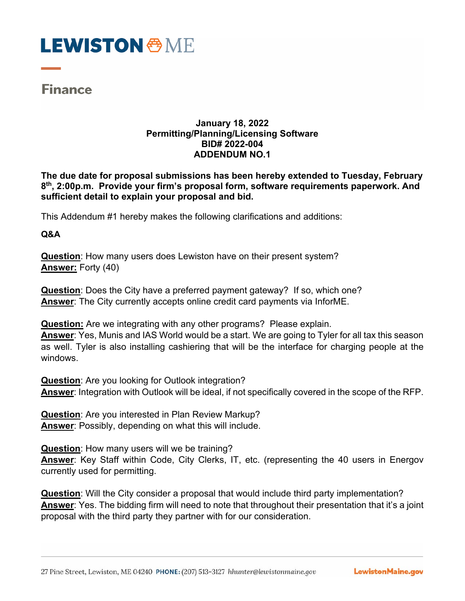## **LEWISTON & ME**

## **Finance**

## **January 18, 2022 Permitting/Planning/Licensing Software BID# 2022-004 ADDENDUM NO.1**

**The due date for proposal submissions has been hereby extended to Tuesday, February 8th, 2:00p.m. Provide your firm's proposal form, software requirements paperwork. And sufficient detail to explain your proposal and bid.** 

This Addendum #1 hereby makes the following clarifications and additions:

## **Q&A**

**Question**: How many users does Lewiston have on their present system? **Answer:** Forty (40)

**Question**: Does the City have a preferred payment gateway? If so, which one? **Answer**: The City currently accepts online credit card payments via InforME.

**Question:** Are we integrating with any other programs? Please explain.

**Answer**: Yes, Munis and IAS World would be a start. We are going to Tyler for all tax this season as well. Tyler is also installing cashiering that will be the interface for charging people at the windows.

**Question**: Are you looking for Outlook integration? **Answer**: Integration with Outlook will be ideal, if not specifically covered in the scope of the RFP.

**Question**: Are you interested in Plan Review Markup? **Answer**: Possibly, depending on what this will include.

**Question**: How many users will we be training? **Answer**: Key Staff within Code, City Clerks, IT, etc. (representing the 40 users in Energov currently used for permitting.

**Question**: Will the City consider a proposal that would include third party implementation? **Answer**: Yes. The bidding firm will need to note that throughout their presentation that it's a joint proposal with the third party they partner with for our consideration.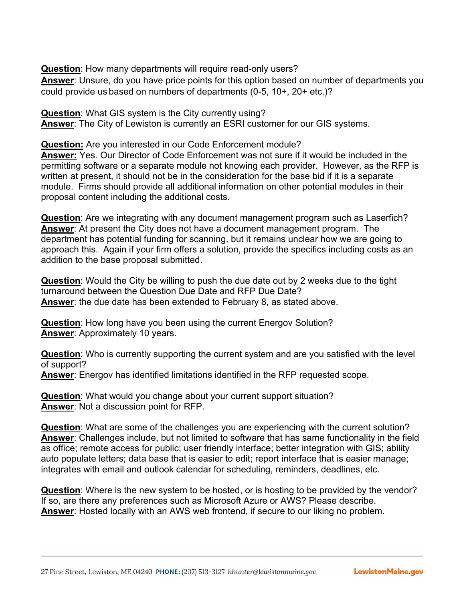**Question**: How many departments will require read-only users?

**Answer**: Unsure, do you have price points for this option based on number of departments you could provide us based on numbers of departments (0-5, 10+, 20+ etc.)?

**Question**: What GIS system is the City currently using? **Answer**: The City of Lewiston is currently an ESRI customer for our GIS systems.

**Question:** Are you interested in our Code Enforcement module?

**Answer:** Yes. Our Director of Code Enforcement was not sure if it would be included in the permitting software or a separate module not knowing each provider. However, as the RFP is written at present, it should not be in the consideration for the base bid if it is a separate module. Firms should provide all additional information on other potential modules in their proposal content including the additional costs.

**Question**: Are we integrating with any document management program such as Laserfich? **Answer**: At present the City does not have a document management program. The department has potential funding for scanning, but it remains unclear how we are going to approach this. Again if your firm offers a solution, provide the specifics including costs as an addition to the base proposal submitted.

**Question**: Would the City be willing to push the due date out by 2 weeks due to the tight turnaround between the Question Due Date and RFP Due Date? **Answer**: the due date has been extended to February 8, as stated above.

**Question**: How long have you been using the current Energov Solution? **Answer**: Approximately 10 years.

**Question**: Who is currently supporting the current system and are you satisfied with the level of support? **Answer**: Energov has identified limitations identified in the RFP requested scope.

**Question**: What would you change about your current support situation? **Answer**: Not a discussion point for RFP.

**Question**: What are some of the challenges you are experiencing with the current solution? **Answer**: Challenges include, but not limited to software that has same functionality in the field as office; remote access for public; user friendly interface; better integration with GIS; ability auto populate letters; data base that is easier to edit; report interface that is easier manage; integrates with email and outlook calendar for scheduling, reminders, deadlines, etc.

**Question**: Where is the new system to be hosted, or is hosting to be provided by the vendor? If so, are there any preferences such as Microsoft Azure or AWS? Please describe. **Answer**: Hosted locally with an AWS web frontend, if secure to our liking no problem.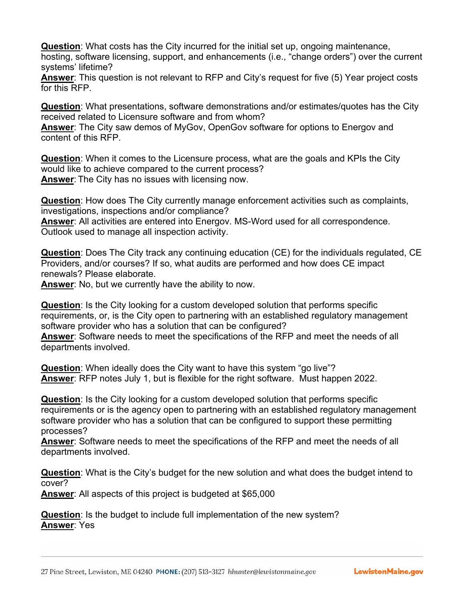**Question**: What costs has the City incurred for the initial set up, ongoing maintenance, hosting, software licensing, support, and enhancements (i.e., "change orders") over the current systems' lifetime?

**Answer**: This question is not relevant to RFP and City's request for five (5) Year project costs for this RFP.

**Question**: What presentations, software demonstrations and/or estimates/quotes has the City received related to Licensure software and from whom?

**Answer**: The City saw demos of MyGov, OpenGov software for options to Energov and content of this RFP.

**Question**: When it comes to the Licensure process, what are the goals and KPIs the City would like to achieve compared to the current process? **Answer**: The City has no issues with licensing now.

**Question**: How does The City currently manage enforcement activities such as complaints, investigations, inspections and/or compliance?

**Answer**: All activities are entered into Energov. MS-Word used for all correspondence. Outlook used to manage all inspection activity.

**Question**: Does The City track any continuing education (CE) for the individuals regulated, CE Providers, and/or courses? If so, what audits are performed and how does CE impact renewals? Please elaborate.

**Answer**: No, but we currently have the ability to now.

**Question**: Is the City looking for a custom developed solution that performs specific requirements, or, is the City open to partnering with an established regulatory management software provider who has a solution that can be configured?

**Answer**: Software needs to meet the specifications of the RFP and meet the needs of all departments involved.

**Question**: When ideally does the City want to have this system "go live"? **Answer**: RFP notes July 1, but is flexible for the right software. Must happen 2022.

**Question**: Is the City looking for a custom developed solution that performs specific requirements or is the agency open to partnering with an established regulatory management software provider who has a solution that can be configured to support these permitting processes?

**Answer**: Software needs to meet the specifications of the RFP and meet the needs of all departments involved.

**Question**: What is the City's budget for the new solution and what does the budget intend to cover?

**Answer**: All aspects of this project is budgeted at \$65,000

**Question**: Is the budget to include full implementation of the new system? **Answer**: Yes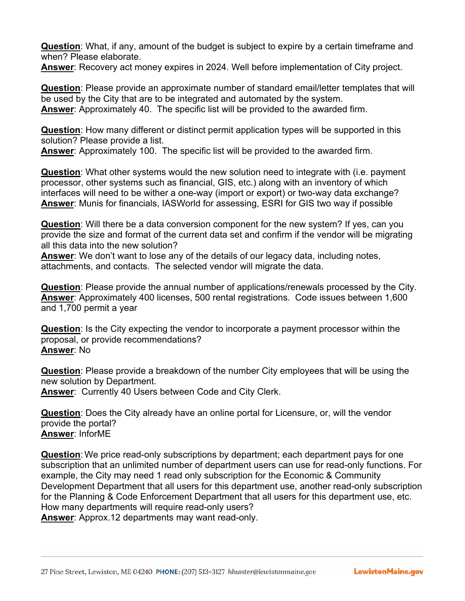**Question**: What, if any, amount of the budget is subject to expire by a certain timeframe and when? Please elaborate.

**Answer**: Recovery act money expires in 2024. Well before implementation of City project.

**Question**: Please provide an approximate number of standard email/letter templates that will be used by the City that are to be integrated and automated by the system. **Answer**: Approximately 40. The specific list will be provided to the awarded firm.

**Question**: How many different or distinct permit application types will be supported in this solution? Please provide a list.

**Answer**: Approximately 100. The specific list will be provided to the awarded firm.

**Question**: What other systems would the new solution need to integrate with (i.e. payment processor, other systems such as financial, GIS, etc.) along with an inventory of which interfaces will need to be wither a one-way (import or export) or two-way data exchange? **Answer**: Munis for financials, IASWorld for assessing, ESRI for GIS two way if possible

**Question**: Will there be a data conversion component for the new system? If yes, can you provide the size and format of the current data set and confirm if the vendor will be migrating all this data into the new solution?

**Answer**: We don't want to lose any of the details of our legacy data, including notes, attachments, and contacts. The selected vendor will migrate the data.

**Question**: Please provide the annual number of applications/renewals processed by the City. **Answer**: Approximately 400 licenses, 500 rental registrations. Code issues between 1,600 and 1,700 permit a year

**Question**: Is the City expecting the vendor to incorporate a payment processor within the proposal, or provide recommendations? **Answer**: No

**Question**: Please provide a breakdown of the number City employees that will be using the new solution by Department.

**Answer**: Currently 40 Users between Code and City Clerk.

**Question**: Does the City already have an online portal for Licensure, or, will the vendor provide the portal? **Answer**: InforME

**Question**: We price read-only subscriptions by department; each department pays for one subscription that an unlimited number of department users can use for read-only functions. For example, the City may need 1 read only subscription for the Economic & Community Development Department that all users for this department use, another read-only subscription for the Planning & Code Enforcement Department that all users for this department use, etc. How many departments will require read-only users?

**Answer**: Approx.12 departments may want read-only.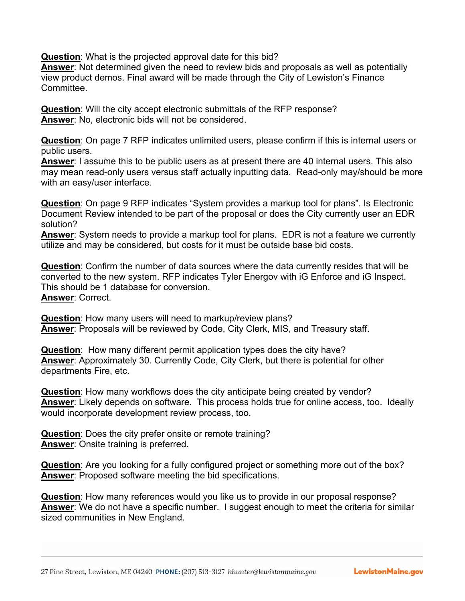**Question**: What is the projected approval date for this bid?

**Answer**: Not determined given the need to review bids and proposals as well as potentially view product demos. Final award will be made through the City of Lewiston's Finance Committee.

**Question**: Will the city accept electronic submittals of the RFP response? **Answer**: No, electronic bids will not be considered.

**Question**: On page 7 RFP indicates unlimited users, please confirm if this is internal users or public users.

**Answer**: I assume this to be public users as at present there are 40 internal users. This also may mean read-only users versus staff actually inputting data. Read-only may/should be more with an easy/user interface.

**Question**: On page 9 RFP indicates "System provides a markup tool for plans". Is Electronic Document Review intended to be part of the proposal or does the City currently user an EDR solution?

**Answer**: System needs to provide a markup tool for plans. EDR is not a feature we currently utilize and may be considered, but costs for it must be outside base bid costs.

**Question**: Confirm the number of data sources where the data currently resides that will be converted to the new system. RFP indicates Tyler Energov with iG Enforce and iG Inspect. This should be 1 database for conversion. **Answer**: Correct.

**Question**: How many users will need to markup/review plans? **Answer**: Proposals will be reviewed by Code, City Clerk, MIS, and Treasury staff.

**Question**: How many different permit application types does the city have? **Answer**: Approximately 30. Currently Code, City Clerk, but there is potential for other departments Fire, etc.

**Question**: How many workflows does the city anticipate being created by vendor? **Answer**: Likely depends on software. This process holds true for online access, too. Ideally would incorporate development review process, too.

**Question**: Does the city prefer onsite or remote training? **Answer**: Onsite training is preferred.

**Question**: Are you looking for a fully configured project or something more out of the box? **Answer**: Proposed software meeting the bid specifications.

**Question**: How many references would you like us to provide in our proposal response? **Answer**: We do not have a specific number. I suggest enough to meet the criteria for similar sized communities in New England.